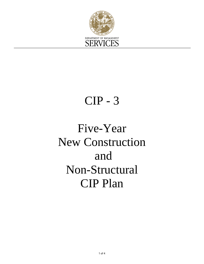

### CIP - 3

# Five-Year New Construction and Non-Structural CIP Plan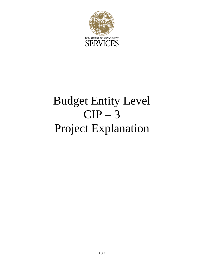

# Budget Entity Level  $CIP-3$ Project Explanation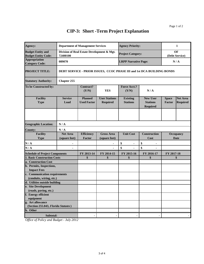### **CIP-3: Short -Term Project Explanation**

| Agency:                                                | <b>Department of Management Services</b>                               |                                      |                                         | <b>Agency Priority:</b>            |                                                       | 1                      |                                    |  |  |
|--------------------------------------------------------|------------------------------------------------------------------------|--------------------------------------|-----------------------------------------|------------------------------------|-------------------------------------------------------|------------------------|------------------------------------|--|--|
| <b>Budget Entity and</b><br><b>Budget Entity Code:</b> | Division of Real Estate Development & Mgt.<br>72400100                 |                                      |                                         | <b>Project Category:</b>           |                                                       | OF<br>(Debt Service)   |                                    |  |  |
| <b>Appropriation</b><br><b>Category Code:</b>          | 089070                                                                 |                                      |                                         | <b>LRPP Narrative Page:</b>        |                                                       | N/A                    |                                    |  |  |
| <b>PROJECT TITLE:</b>                                  | DEBT SERVICE - PRIOR ISSUES, CCOC PHASE III and 1st DCA BUILDING BONDS |                                      |                                         |                                    |                                                       |                        |                                    |  |  |
| <b>Statutory Authority:</b>                            | <b>Chapter 255</b>                                                     |                                      |                                         |                                    |                                                       |                        |                                    |  |  |
| To be Constructed by:                                  |                                                                        | Contract?<br>(Y/N)                   | <b>YES</b>                              | <b>Force Acct.?</b><br>(Y/N)       | N/A                                                   |                        |                                    |  |  |
| <b>Facility</b><br><b>Type</b>                         | <b>Service</b><br>Load                                                 | <b>Planned</b><br><b>Used Factor</b> | <b>User Stations</b><br><b>Required</b> | <b>Existing</b><br><b>Stations</b> | <b>New User</b><br><b>Stations</b><br><b>Required</b> | <b>Space</b><br>Factor | <b>Net Area</b><br><b>Required</b> |  |  |
|                                                        |                                                                        |                                      |                                         |                                    |                                                       |                        |                                    |  |  |
| <b>Geographic Location:</b>                            | N/A                                                                    |                                      |                                         |                                    |                                                       |                        |                                    |  |  |
| <b>County:</b>                                         | N/A                                                                    |                                      |                                         |                                    |                                                       |                        |                                    |  |  |
| <b>Facility</b>                                        | <b>Net Area</b>                                                        | <b>Efficiency</b>                    | <b>Gross Area</b>                       | <b>Unit Cost</b>                   | <b>Construction</b>                                   | Occupancy              |                                    |  |  |
| <b>Type</b>                                            | (square feet)                                                          | Factor                               | (square feet)                           |                                    | Cost                                                  |                        | <b>Date</b>                        |  |  |
| N/A                                                    |                                                                        |                                      |                                         | \$<br>٠                            | \$<br>$\blacksquare$                                  |                        |                                    |  |  |
| N/A                                                    |                                                                        |                                      |                                         | \$                                 | \$                                                    |                        |                                    |  |  |
| <b>Schedule of Project Components</b>                  |                                                                        | FY 2013-14                           | FY 2014-15                              | FY 2015-16                         | FY 2016-17                                            | FY 2017-18             |                                    |  |  |
| <b>1. Basic Construction Costs</b>                     |                                                                        | \$                                   | \$                                      | \$                                 | \$                                                    | \$                     |                                    |  |  |
| a. Construction Cost                                   |                                                                        |                                      |                                         |                                    |                                                       |                        |                                    |  |  |
| b. Permits, Inspections,                               |                                                                        |                                      |                                         |                                    |                                                       |                        |                                    |  |  |
| <b>Impact Fees</b>                                     |                                                                        |                                      |                                         |                                    |                                                       |                        |                                    |  |  |
| c. Communication requirements                          |                                                                        |                                      |                                         |                                    |                                                       |                        |                                    |  |  |
| (conduits, wiring, etc.)                               |                                                                        |                                      |                                         |                                    |                                                       |                        |                                    |  |  |
| d. Utilities outside building<br>e. Site Development   |                                                                        |                                      |                                         |                                    |                                                       |                        |                                    |  |  |
| (roads, paving, etc.)                                  |                                                                        |                                      |                                         |                                    |                                                       |                        |                                    |  |  |
| f. Energy efficient                                    |                                                                        |                                      |                                         |                                    |                                                       |                        |                                    |  |  |
| equipment                                              |                                                                        |                                      |                                         |                                    |                                                       |                        |                                    |  |  |
| g. Art allowance                                       |                                                                        |                                      |                                         |                                    |                                                       |                        |                                    |  |  |
| (Section 255.043, Florida Statutes)                    |                                                                        |                                      |                                         |                                    |                                                       |                        |                                    |  |  |
| h. Other                                               |                                                                        |                                      |                                         |                                    |                                                       |                        |                                    |  |  |
| Subtotal:                                              |                                                                        |                                      |                                         |                                    |                                                       |                        |                                    |  |  |

*Office of Policy and Budget - July 2012*